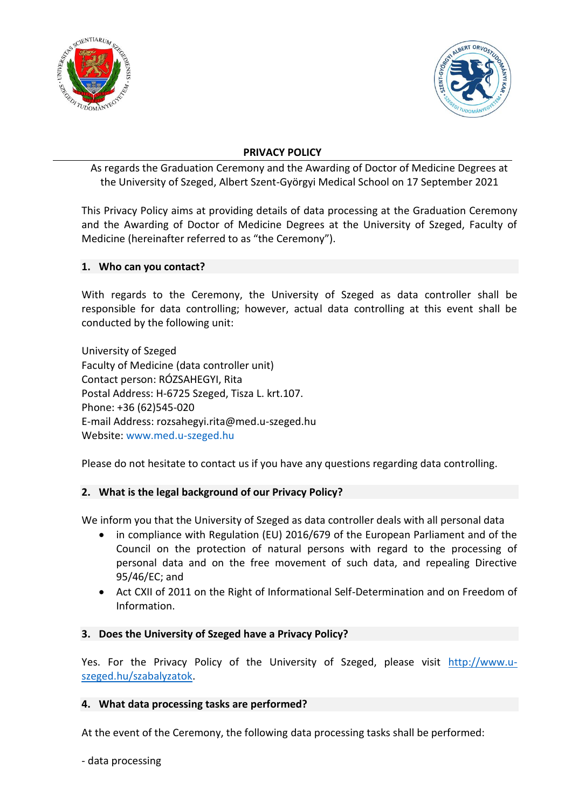



## **PRIVACY POLICY**

As regards the Graduation Ceremony and the Awarding of Doctor of Medicine Degrees at the University of Szeged, Albert Szent-Györgyi Medical School on 17 September 2021

This Privacy Policy aims at providing details of data processing at the Graduation Ceremony and the Awarding of Doctor of Medicine Degrees at the University of Szeged, Faculty of Medicine (hereinafter referred to as "the Ceremony").

### **1. Who can you contact?**

With regards to the Ceremony, the University of Szeged as data controller shall be responsible for data controlling; however, actual data controlling at this event shall be conducted by the following unit:

University of Szeged Faculty of Medicine (data controller unit) Contact person: RÓZSAHEGYI, Rita Postal Address: H-6725 Szeged, Tisza L. krt.107. Phone: +36 (62)545-020 E-mail Address: rozsahegyi.rita@med.u-szeged.hu Website: [www.med.u-szeged.hu](http://www.med.u-szeged.hu/)

Please do not hesitate to contact us if you have any questions regarding data controlling.

## **2. What is the legal background of our Privacy Policy?**

We inform you that the University of Szeged as data controller deals with all personal data

- in compliance with Regulation (EU) 2016/679 of the European Parliament and of the Council on the protection of natural persons with regard to the processing of personal data and on the free movement of such data, and repealing Directive 95/46/EC; and
- Act CXII of 2011 on the Right of Informational Self-Determination and on Freedom of Information.

### **3. Does the University of Szeged have a Privacy Policy?**

Yes. For the Privacy Policy of the University of Szeged, please visit http://www.uszeged.hu/szabalyzatok.

### **4. What data processing tasks are performed?**

At the event of the Ceremony, the following data processing tasks shall be performed:

- data processing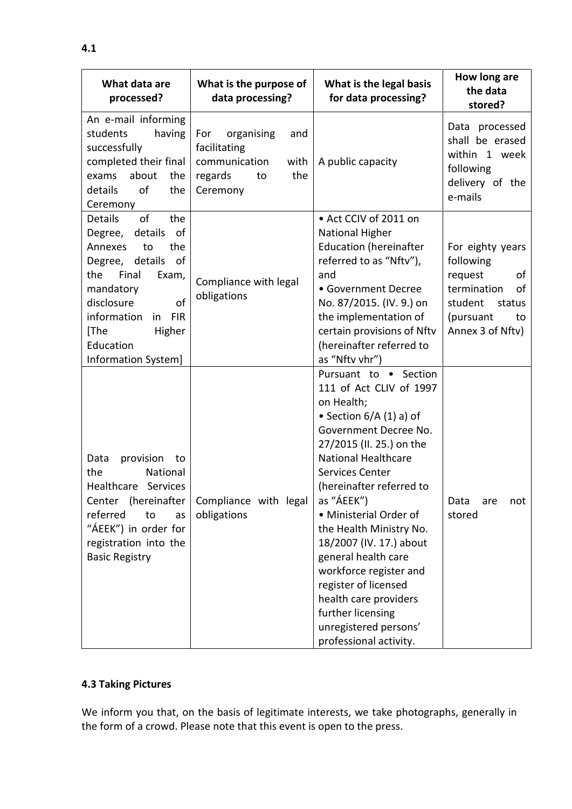| What data are<br>processed?                                                                                                                                                                                                                    | What is the purpose of<br>data processing?                                                            | What is the legal basis<br>for data processing?                                                                                                                                                                                                                                                                                                                                                                                                                                                      | How long are<br>the data<br>stored?                                                                                             |
|------------------------------------------------------------------------------------------------------------------------------------------------------------------------------------------------------------------------------------------------|-------------------------------------------------------------------------------------------------------|------------------------------------------------------------------------------------------------------------------------------------------------------------------------------------------------------------------------------------------------------------------------------------------------------------------------------------------------------------------------------------------------------------------------------------------------------------------------------------------------------|---------------------------------------------------------------------------------------------------------------------------------|
| An e-mail informing<br>students<br>having<br>successfully<br>completed their final<br>about<br>exams<br>the<br>details<br>of<br>the<br>Ceremony                                                                                                | organising<br>For<br>and<br>facilitating<br>communication<br>with<br>the<br>regards<br>to<br>Ceremony | A public capacity                                                                                                                                                                                                                                                                                                                                                                                                                                                                                    | Data processed<br>shall be erased<br>within 1 week<br>following<br>delivery of the<br>e-mails                                   |
| of<br><b>Details</b><br>the<br>Degree, details<br>of<br>Annexes<br>to<br>the<br>Degree, details<br>of<br>the<br>Final<br>Exam,<br>mandatory<br>of<br>disclosure<br>in FIR<br>information<br>Higher<br>[The<br>Education<br>Information System] | Compliance with legal<br>obligations                                                                  | • Act CCIV of 2011 on<br><b>National Higher</b><br><b>Education (hereinafter</b><br>referred to as "Nftv"),<br>and<br>• Government Decree<br>No. 87/2015. (IV. 9.) on<br>the implementation of<br>certain provisions of Nftv<br>(hereinafter referred to<br>as "Nftv vhr")                                                                                                                                                                                                                           | For eighty years<br>following<br>request<br>οf<br>termination<br>of<br>student<br>status<br>(pursuant<br>to<br>Annex 3 of Nftv) |
| provision<br>Data<br>to<br>the<br>National<br>Healthcare Services<br>referred<br>to<br>as<br>"ÁEEK") in order for<br>registration into the<br><b>Basic Registry</b>                                                                            | Center (hereinafter   Compliance with legal<br>obligations                                            | Pursuant to · Section<br>111 of Act CLIV of 1997<br>on Health;<br>• Section $6/A(1)$ a) of<br>Government Decree No.<br>27/2015 (II. 25.) on the<br><b>National Healthcare</b><br>Services Center<br>(hereinafter referred to<br>as "ÁEEK")<br>· Ministerial Order of<br>the Health Ministry No.<br>18/2007 (IV. 17.) about<br>general health care<br>workforce register and<br>register of licensed<br>health care providers<br>further licensing<br>unregistered persons'<br>professional activity. | Data<br>not<br>are<br>stored                                                                                                    |

# **4.3 Taking Pictures**

We inform you that, on the basis of legitimate interests, we take photographs, generally in the form of a crowd. Please note that this event is open to the press.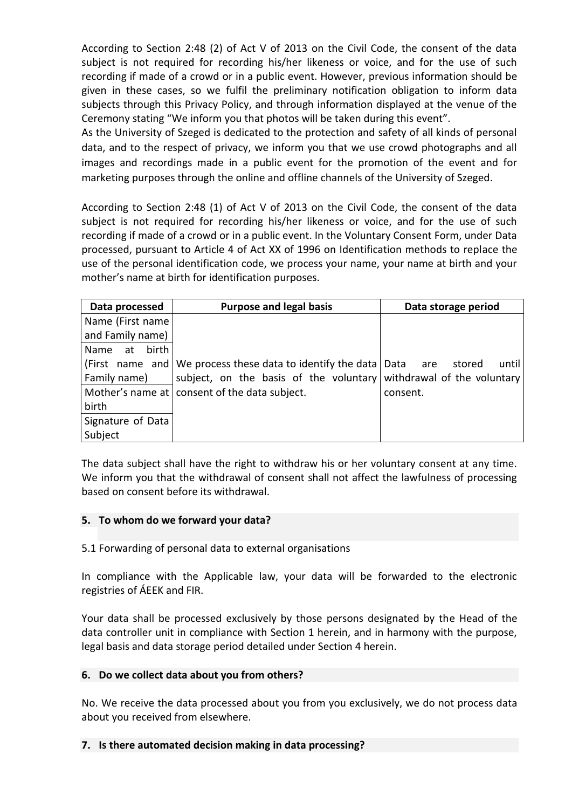According to Section 2:48 (2) of Act V of 2013 on the Civil Code, the consent of the data subject is not required for recording his/her likeness or voice, and for the use of such recording if made of a crowd or in a public event. However, previous information should be given in these cases, so we fulfil the preliminary notification obligation to inform data subjects through this Privacy Policy, and through information displayed at the venue of the Ceremony stating "We inform you that photos will be taken during this event".

As the University of Szeged is dedicated to the protection and safety of all kinds of personal data, and to the respect of privacy, we inform you that we use crowd photographs and all images and recordings made in a public event for the promotion of the event and for marketing purposes through the online and offline channels of the University of Szeged.

According to Section 2:48 (1) of Act V of 2013 on the Civil Code, the consent of the data subject is not required for recording his/her likeness or voice, and for the use of such recording if made of a crowd or in a public event. In the Voluntary Consent Form, under Data processed, pursuant to Article 4 of Act XX of 1996 on Identification methods to replace the use of the personal identification code, we process your name, your name at birth and your mother's name at birth for identification purposes.

| Data processed     | <b>Purpose and legal basis</b>                                        | Data storage period |  |
|--------------------|-----------------------------------------------------------------------|---------------------|--|
| Name (First name   |                                                                       |                     |  |
| and Family name)   |                                                                       |                     |  |
| birth l<br>Name at |                                                                       |                     |  |
|                    | (First name and We process these data to identify the data   Data are | until<br>stored     |  |
| Family name)       | subject, on the basis of the voluntary withdrawal of the voluntary    |                     |  |
|                    | Mother's name at consent of the data subject.                         | consent.            |  |
| birth              |                                                                       |                     |  |
| Signature of Data  |                                                                       |                     |  |
| Subject            |                                                                       |                     |  |

The data subject shall have the right to withdraw his or her voluntary consent at any time. We inform you that the withdrawal of consent shall not affect the lawfulness of processing based on consent before its withdrawal.

#### **5. To whom do we forward your data?**

5.1 Forwarding of personal data to external organisations

In compliance with the Applicable law, your data will be forwarded to the electronic registries of ÁEEK and FIR.

Your data shall be processed exclusively by those persons designated by the Head of the data controller unit in compliance with Section 1 herein, and in harmony with the purpose, legal basis and data storage period detailed under Section 4 herein.

#### **6. Do we collect data about you from others?**

No. We receive the data processed about you from you exclusively, we do not process data about you received from elsewhere.

#### **7. Is there automated decision making in data processing?**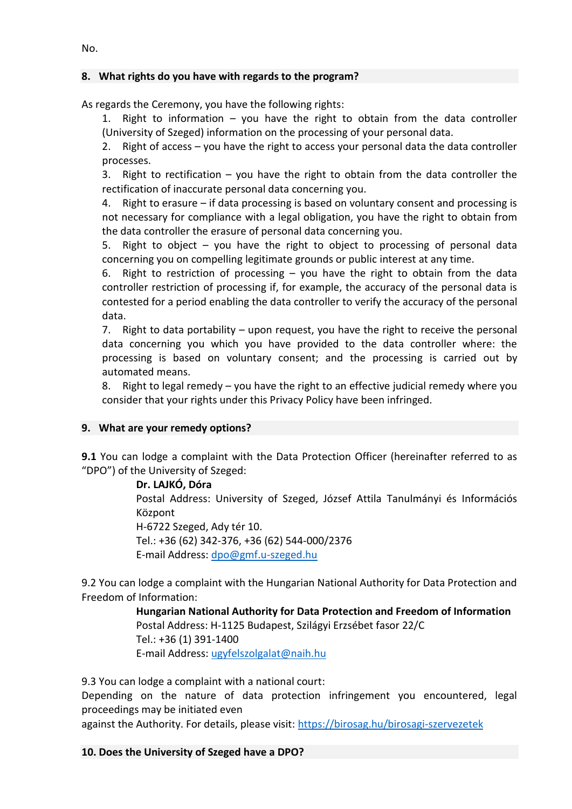## **8. What rights do you have with regards to the program?**

As regards the Ceremony, you have the following rights:

1. Right to information – you have the right to obtain from the data controller (University of Szeged) information on the processing of your personal data.

2. Right of access – you have the right to access your personal data the data controller processes.

3. Right to rectification – you have the right to obtain from the data controller the rectification of inaccurate personal data concerning you.

4. Right to erasure – if data processing is based on voluntary consent and processing is not necessary for compliance with a legal obligation, you have the right to obtain from the data controller the erasure of personal data concerning you.

5. Right to object – you have the right to object to processing of personal data concerning you on compelling legitimate grounds or public interest at any time.

6. Right to restriction of processing – you have the right to obtain from the data controller restriction of processing if, for example, the accuracy of the personal data is contested for a period enabling the data controller to verify the accuracy of the personal data.

7. Right to data portability – upon request, you have the right to receive the personal data concerning you which you have provided to the data controller where: the processing is based on voluntary consent; and the processing is carried out by automated means.

8. Right to legal remedy – you have the right to an effective judicial remedy where you consider that your rights under this Privacy Policy have been infringed.

### **9. What are your remedy options?**

**9.1** You can lodge a complaint with the Data Protection Officer (hereinafter referred to as "DPO") of the University of Szeged:

**Dr. LAJKÓ, Dóra**

Postal Address: University of Szeged, József Attila Tanulmányi és Információs Központ

H-6722 Szeged, Ady tér 10.

Tel.: +36 (62) 342-376, +36 (62) 544-000/2376 E-mail Address: [dpo@gmf.u-szeged.hu](mailto:dpo@gmf.u-szeged.hu)

9.2 You can lodge a complaint with the Hungarian National Authority for Data Protection and Freedom of Information:

> **Hungarian National Authority for Data Protection and Freedom of Information** Postal Address: H-1125 Budapest, Szilágyi Erzsébet fasor 22/C Tel.: +36 (1) 391-1400 E-mail Address: [ugyfelszolgalat@naih.hu](mailto:ugyfelszolgalat@naih.hu)

9.3 You can lodge a complaint with a national court:

Depending on the nature of data protection infringement you encountered, legal proceedings may be initiated even

against the Authority. For details, please visit:<https://birosag.hu/birosagi-szervezetek>

#### **10. Does the University of Szeged have a DPO?**

No.